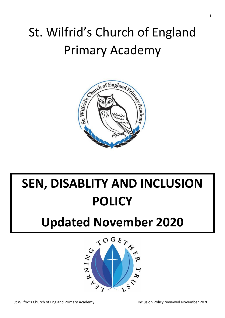## St. Wilfrid's Church of England Primary Academy



# **SEN, DISABLITY AND INCLUSION POLICY**

## **Updated November 2020**

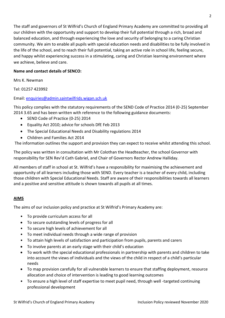The staff and governors of St Wilfrid's Church of England Primary Academy are committed to providing all our children with the opportunity and support to develop their full potential through a rich, broad and balanced education, and through experiencing the love and security of belonging to a caring Christian community. We aim to enable all pupils with special education needs and disabilities to be fully involved in the life of the school, and to reach their full potential, taking an active role in school life, feeling secure, and happy whilst experiencing success in a stimulating, caring and Christian learning environment where we achieve, believe and care.

#### **Name and contact details of SENCO:**

Mrs K. Newman

Tel: 01257 423992

#### Email: [enquiries@admin.saintwilfrids.wigan.sch.uk](mailto:enquiries@admin.saintwilfrids.wigan.sch.uk)

This policy complies with the statutory requirements of the SEND Code of Practice 2014 (0-25) September 2014 3.65 and has been written with reference to the following guidance documents:

- SEND Code of Practice (0-25) 2014
- Equality Act 2010; advice for schools DfE Feb 2013
- The Special Educational Needs and Disability regulations 2014
- Children and Families Act 2014

The information outlines the support and provision they can expect to receive whilst attending this school.

The policy was written in consultation with Mr Colothan the Headteacher, the school Governor with responsibility for SEN Rev'd Cath Gabriel, and Chair of Governors Rector Andrew Halliday.

All members of staff in school at St. Wilfrid's have a responsibility for maximising the achievement and opportunity of all learners including those with SEND. Every teacher is a teacher of every child, including those children with Special Educational Needs. Staff are aware of their responsibilities towards all learners and a positive and sensitive attitude is shown towards all pupils at all times.

#### **AIMS**

The aims of our inclusion policy and practice at St Wilfrid's Primary Academy are:

- To provide curriculum access for all
- To secure outstanding levels of progress for all
- To secure high levels of achievement for all
- To meet individual needs through a wide range of provision
- To attain high levels of satisfaction and participation from pupils, parents and carers
- To involve parents at an early stage with their child's education
- To work with the special educational professionals in partnership with parents and children to take into account the views of individuals and the views of the child in respect of a child's particular needs
- To map provision carefully for all vulnerable learners to ensure that staffing deployment, resource allocation and choice of intervention is leading to good learning outcomes
- To ensure a high level of staff expertise to meet pupil need, through well -targeted continuing professional development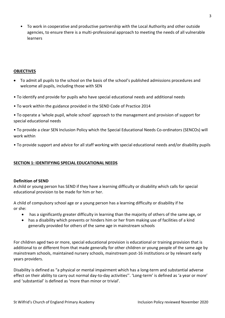• To work in cooperative and productive partnership with the Local Authority and other outside agencies, to ensure there is a multi-professional approach to meeting the needs of all vulnerable learners

#### **OBJECTIVES**

- To admit all pupils to the school on the basis of the school's published admissions procedures and welcome all pupils, including those with SEN
- To identify and provide for pupils who have special educational needs and additional needs
- To work within the guidance provided in the SEND Code of Practice 2014
- To operate a 'whole pupil, whole school' approach to the management and provision of support for special educational needs

• To provide a clear SEN Inclusion Policy which the Special Educational Needs Co-ordinators (SENCOs) will work within

• To provide support and advice for all staff working with special educational needs and/or disability pupils

#### **SECTION 1: IDENTIFYING SPECIAL EDUCATIONAL NEEDS**

#### **Definition of SEND**

A child or young person has SEND if they have a learning difficulty or disability which calls for special educational provision to be made for him or her.

A child of compulsory school age or a young person has a learning difficulty or disability if he or she:

- has a significantly greater difficulty in learning than the majority of others of the same age, or
- has a disability which prevents or hinders him or her from making use of facilities of a kind generally provided for others of the same age in mainstream schools

For children aged two or more, special educational provision is educational or training provision that is additional to or different from that made generally for other children or young people of the same age by mainstream schools, maintained nursery schools, mainstream post-16 institutions or by relevant early years providers.

Disability is defined as "a physical or mental impairment which has a long-term and substantial adverse effect on their ability to carry out normal day-to-day activities''. 'Long-term' is defined as 'a year or more' and 'substantial' is defined as 'more than minor or trivial'.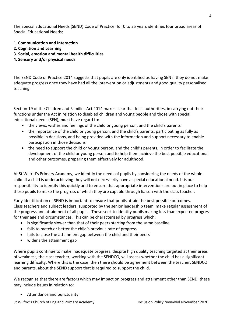The Special Educational Needs (SEND) Code of Practice: for 0 to 25 years identifies four broad areas of Special Educational Needs;

- 1. **Communication and Interaction**
- **2. Cognition and Learning**
- **3. Social, emotion and mental health difficulties**
- **4. Sensory and/or physical needs**

The SEND Code of Practice 2014 suggests that pupils are only identified as having SEN if they do not make adequate progress once they have had all the intervention or adjustments and good quality personalised teaching.

Section 19 of the Children and Families Act 2014 makes clear that local authorities, in carrying out their functions under the Act in relation to disabled children and young people and those with special educational needs (SEN), **must** have regard to:

- the views, wishes and feelings of the child or young person, and the child's parents
- the importance of the child or young person, and the child's parents, participating as fully as possible in decisions, and being provided with the information and support necessary to enable participation in those decisions
- the need to support the child or young person, and the child's parents, in order to facilitate the development of the child or young person and to help them achieve the best possible educational and other outcomes, preparing them effectively for adulthood.

At St Wilfrid's Primary Academy, we identify the needs of pupils by considering the needs of the whole child. If a child is underachieving they will not necessarily have a special educational need. It is our responsibility to identify this quickly and to ensure that appropriate interventions are put in place to help these pupils to make the progress of which they are capable through liaison with the class teacher.

Early identification of SEND is important to ensure that pupils attain the best possible outcomes. Class teachers and subject leaders, supported by the senior leadership team, make regular assessment of the progress and attainment of all pupils. These seek to identify pupils making less than expected progress for their age and circumstances. This can be characterised by progress which:

- is significantly slower than that of their peers starting from the same baseline
- fails to match or better the child's previous rate of progress
- fails to close the attainment gap between the child and their peers
- widens the attainment gap

Where pupils continue to make inadequate progress, despite high quality teaching targeted at their areas of weakness, the class teacher, working with the SENDCO, will assess whether the child has a significant learning difficulty. Where this is the case, then there should be agreement between the teacher, SENDCO and parents, about the SEND support that is required to support the child.

We recognise that there are factors which may impact on progress and attainment other than SEND, these may include issues in relation to:

• Attendance and punctuality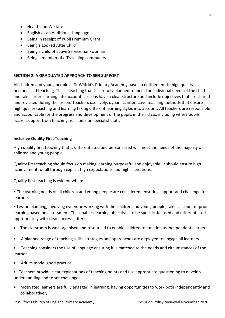- Health and Welfare
- English as an Additional Language
- Being in receipt of Pupil Premium Grant
- Being a Looked After Child
- Being a child of active Serviceman/woman
- Being a member of a Travelling community

#### **SECTION 2: A GRADUATED APPROACH TO SEN SUPPORT**

All children and young people at St Wilfrid's Primary Academy have an entitlement to high quality, personalised teaching. This is teaching that is carefully planned to meet the individual needs of the child and takes prior learning into account. Lessons have a clear structure and include objectives that are shared and revisited during the lesson. Teachers use lively, dynamic, interactive teaching methods that ensure high quality teaching and learning taking different learning styles into account. All teachers are responsible and accountable for the progress and development of the pupils in their class, including where pupils access support from teaching assistants or specialist staff.

#### **Inclusive Quality First Teaching**

High quality first teaching that is differentiated and personalised will meet the needs of the majority of children and young people.

Quality first teaching should focus on making learning purposeful and enjoyable. It should ensure high achievement for all through explicit high expectations and high aspirations.

Quality first teaching is evident when:

• The learning needs of all children and young people are considered; ensuring support and challenge for learners

• Lesson planning, involving everyone working with the children and young people, takes account of prior learning based on assessment. This enables learning objectives to be specific, focused and differentiated appropriately with clear success criteria

- The classroom is well organised and resourced to enable children to function as independent learners
- A planned range of teaching skills, strategies and approaches are deployed to engage all learners
- Teaching considers the use of language ensuring it is matched to the needs and circumstances of the learner
- Adults model good practice
- Teachers provide clear explanations of teaching points and use appropriate questioning to develop understanding and to set challenges
- Motivated learners are fully engaged in learning, having opportunities to work both independently and collaboratively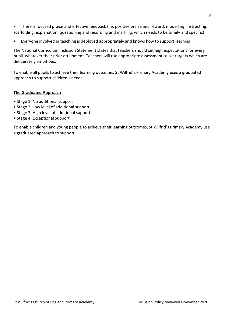- There is focused praise and effective feedback (i e: positive praise and reward, modelling, instructing, scaffolding, explanation, questioning and recording and marking, which needs to be timely and specific)
- Everyone involved in teaching is deployed appropriately and knows how to support learning

The National Curriculum Inclusion Statement states that teachers should set high expectations for every pupil, whatever their prior attainment. Teachers will use appropriate assessment to set targets which are deliberately ambitious.

To enable all pupils to achieve their learning outcomes St Wilfrid's Primary Academy uses a graduated approach to support children's needs.

#### **The Graduated Approach**

- Stage 1: No additional support
- Stage 2: Low level of additional support
- Stage 3: High level of additional support
- Stage 4: Exceptional Support

To enable children and young people to achieve their learning outcomes, St Wilfrid's Primary Academy use a graduated approach to support.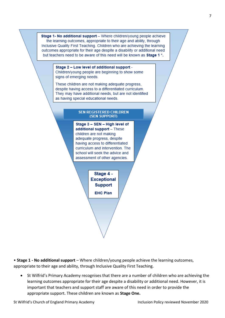Stage 1- No additional support - Where children/young people achieve the learning outcomes, appropriate to their age and ability, through Inclusive Quality First Teaching. Children who are achieving the learning outcomes appropriate for their age despite a disability or additional need but teachers need to be aware of this need will be known as Stage 1<sup>\*</sup>.

Stage 2 - Low level of additional support -

Children/young people are beginning to show some signs of emerging needs.

These children are not making adequate progress, despite having access to a differentiated curriculum. They may have additional needs, but are not identified as having special educational needs.

#### **SEN REGISTERED CHILDREN** (SEN SUPPORT)

Stage 3 - SEN - High level of additional support - These children are not making adequate progress, despite having access to differentiated curriculum and intervention. The school will seek the advice and assessment of other agencies.

> Stage 4 -**Exceptional Support EHC Plan**

• **Stage 1 - No additional support** – Where children/young people achieve the learning outcomes, appropriate to their age and ability, through Inclusive Quality First Teaching.

• St Wilfrid's Primary Academy recognises that there are a number of children who are achieving the learning outcomes appropriate for their age despite a disability or additional need. However, it is important that teachers and support staff are aware of this need in order to provide the appropriate support. These children are known as **Stage One.**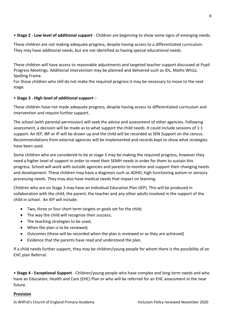#### • **Stage 2 - Low level of additional support** - Children are beginning to show some signs of emerging needs.

These children are not making adequate progress, despite having access to a differentiated curriculum. They may have additional needs, but are not identified as having special educational needs.

These children will have access to reasonable adjustments and targeted teacher support discussed at Pupil Progress Meetings. Additional intervention may be planned and delivered such as IDL, Maths Whizz, Spelling Frame.

For those children who still do not make the required progress it may be necessary to move to the next stage.

#### • **Stage 3 - High level of additional support** –

These children have not made adequate progress, despite having access to differentiated curriculum and intervention and require further support.

The school (with parental permission) will seek the advice and assessment of other agencies. Following assessment, a decision will be made as to what support the child needs. It could include sessions of 1:1 support. An IEP, IBP or IP will be drawn up and the child will be recorded as SEN Support on the census. Recommendations from external agencies will be implemented and records kept to show what strategies have been used.

Some children who are considered to be at stage 3 may be making the required progress, however they need a higher level of support in order to meet their SEMH needs in order for them to sustain this progress. School will work with outside agencies and parents to monitor and support their changing needs and development. These children may have a diagnosis such as ADHD, high functioning autism or sensory processing needs. They may also have medical needs that impact on learning.

Children who are on Stage 3 may have an Individual Education Plan (IEP). This will be produced in collaboration with the child, the parent, the teacher and any other adults involved in the support of the child in school. An IEP will include:

- Two, three or four short term targets or goals set for the child;
- The way the child will recognise their success;
- The teaching strategies to be used;
- When the plan is to be reviewed;
- Outcomes (these will be recorded when the plan is reviewed or as they are achieved)
- Evidence that the parents have read and understood the plan.

If a child needs further support, they may be children/young people for whom there is the possibility of an EHC plan Referral.

• **Stage 4 - Exceptional Support** - Children/young people who have complex and long-term needs and who have an Education, Health and Care (EHC) Plan or who will be referred for an EHC assessment in the near future.

#### **Provision**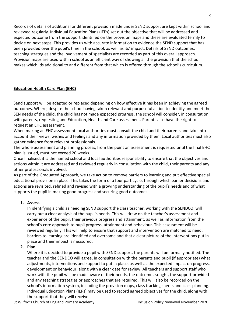Records of details of additional or different provision made under SEND support are kept within school and reviewed regularly. Individual Education Plans (IEPs) set out the objective that will be addressed and expected outcome from the support identified on the provision maps and these are evaluated termly to decide on next steps. This provides us with accurate information to evidence the SEND support that has been provided over the pupil's time in the school, as well as its' impact. Details of SEND outcomes, teaching strategies and the involvement of specialists are recorded as part of this overall approach. Provision maps are used within school as an efficient way of showing all the provision that the school makes which ids additional to and different from that which is offered through the school's curriculum.

#### **Education Health Care Plan (EHC)**

Send support will be adapted or replaced depending on how effective it has been in achieving the agreed outcomes. Where, despite the school having taken relevant and purposeful action to identify and meet the SEN needs of the child, the child has not made expected progress, the school will consider, in consultation with parents, requesting and Education, Health and Care assessment. Parents also have the right to request an EHC assessment.

When making an EHC assessment local authorities must consult the child and their parents and take into account their views, wishes and feelings and any information provided by them. Local authorities must also gather evidence from relevant professionals.

The whole assessment and planning process, from the point an assessment is requested until the final EHC plan is issued, must not exceed 20 weeks.

Once finalised, it is the named school and local authorities responsibility to ensure that the objectives and actions within it are addressed and reviewed regularly in consultation with the child, their parents and any other professionals involved.

As part of the Graduated Approach, we take action to remove barriers to learning and put effective special educational provision in place. This takes the form of a four part cycle, through which earlier decisions and actions are revisited, refined and revised with a growing understanding of the pupil's needs and of what supports the pupil in making good progress and securing good outcomes.

#### **1. Assess**

In identifying a child as needing SEND support the class teacher, working with the SENDCO, will carry out a clear analysis of the pupil's needs. This will draw on the teacher's assessment and experience of the pupil, their previous progress and attainment, as well as information from the school's core approach to pupil progress, attainment and behaviour. This assessment will be reviewed regularly. This will help to ensure that support and intervention are matched to need, barriers to learning are identified and overcome and that a clear picture of the interventions put in place and their impact is measured.

#### **2. Plan**

Where it is decided to provide a pupil with SEND support, the parents will be formally notified. The teacher and the SENDCO will agree, in consultation with the parents and pupil (if appropriate) what adjustments, interventions and support to put in place, as well as the expected impact on progress, development or behaviour, along with a clear date for review. All teachers and support staff who work with the pupil will be made aware of their needs, the outcomes sought, the support provided and any teaching strategies or approaches that are required. This will also be recorded on the school's information system, including the provision maps, class tracking sheets and class planning. Individual Education Plans (IEPs) may be used to record agreed objectives for the child, along with the support that they will receive.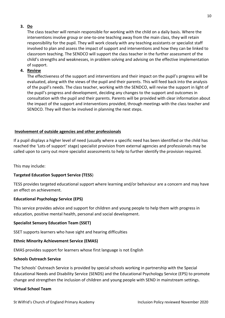#### **3. Do**

The class teacher will remain responsible for working with the child on a daily basis. Where the interventions involve group or one-to-one teaching away from the main class, they will retain responsibility for the pupil. They will work closely with any teaching assistants or specialist staff involved to plan and assess the impact of support and interventions and how they can be linked to classroom teaching. The SENDCO will support the class teacher in the further assessment of the child's strengths and weaknesses, in problem solving and advising on the effective implementation of support.

#### **4. Review**

The effectiveness of the support and interventions and their impact on the pupil's progress will be evaluated, along with the views of the pupil and their parents. This will feed back into the analysis of the pupil's needs. The class teacher, working with the SENDCO, will revise the support in light of the pupil's progress and development, deciding any changes to the support and outcomes in consultation with the pupil and their parents. Parents will be provided with clear information about the impact of the support and interventions provided, through meetings with the class teacher and SENDCO. They will then be involved in planning the next steps.

#### **Involvement of outside agencies and other professionals**

If a pupil displays a higher level of need (usually where a specific need has been identified or the child has reached the 'Lots of support' stage) specialist provision from external agencies and professionals may be called upon to carry out more specialist assessments to help to further identify the provision required.

This may include:

#### **Targeted Education Support Service (TESS**)

TESS provides targeted educational support where learning and/or behaviour are a concern and may have an effect on achievement.

#### **Educational Psychology Service (EPS)**

This service provides advice and support for children and young people to help them with progress in education, positive mental health, personal and social development.

#### **Specialist Sensory Education Team (SSET)**

SSET supports learners who have sight and hearing difficulties

#### **Ethnic Minority Achievement Service (EMAS)**

EMAS provides support for learners whose first language is not English

#### **Schools Outreach Service**

The Schools' Outreach Service is provided by special schools working in partnership with the Special Educational Needs and Disability Service (SENDS) and the Educational Psychology Service (EPS) to promote change and strengthen the inclusion of children and young people with SEND in mainstream settings.

#### **Virtual School Team**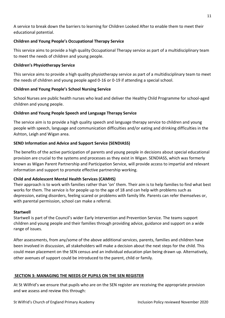A service to break down the barriers to learning for Children Looked After to enable them to meet their educational potential.

#### **Children and Young People's Occupational Therapy Service**

This service aims to provide a high quality Occupational Therapy service as part of a multidisciplinary team to meet the needs of children and young people.

#### **Children's Physiotherapy Service**

This service aims to provide a high quality physiotherapy service as part of a multidisciplinary team to meet the needs of children and young people aged 0-16 or 0-19 if attending a special school.

#### **Children and Young People's School Nursing Service**

School Nurses are public health nurses who lead and deliver the Healthy Child Programme for school-aged children and young people.

#### **Children and Young People Speech and Language Therapy Service**

The service aim is to provide a high quality speech and language therapy service to children and young people with speech, language and communication difficulties and/or eating and drinking difficulties in the Ashton, Leigh and Wigan area.

#### **SEND Information and Advice and Support Service (SENDIASS)**

The benefits of the active participation of parents and young people in decisions about special educational provision are crucial to the systems and processes as they exist in Wigan. SENDIASS, which was formerly known as Wigan Parent Partnership and Participation Service, will provide access to impartial and relevant information and support to promote effective partnership working.

#### **Child and Adolescent Mental Health Services (CAMHS)**

Their approach is to work with families rather than 'on' them. Their aim is to help families to find what best works for them. The service is for people up to the age of 18 and can help with problems such as depression, eating disorders, feeling scared or problems with family life. Parents can refer themselves or, with parental permission, school can make a referral.

#### **Startwell**

Startwell is part of the Council's wider Early Intervention and Prevention Service. The teams support children and young people and their families through providing advice, guidance and support on a wide range of issues.

After assessments, from any/some of the above additional services, parents, families and children have been involved in discussion, all stakeholders will make a decision about the next steps for the child. This could mean placement on the SEN census and an individual education plan being drawn up. Alternatively, other avenues of support could be introduced to the parent, child or family.

#### **SECTION 3: MANAGING THE NEEDS OF PUPILS ON THE SEN REGISTER**

At St Wilfrid's we ensure that pupils who are on the SEN register are receiving the appropriate provision and we assess and review this through: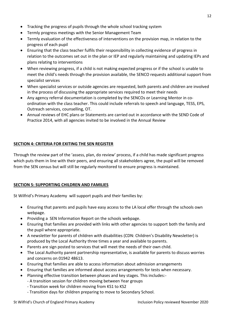- Tracking the progress of pupils through the whole school tracking system
- Termly progress meetings with the Senior Management Team
- Termly evaluation of the effectiveness of interventions on the provision map, in relation to the progress of each pupil
- Ensuring that the class teacher fulfils their responsibility in collecting evidence of progress in relation to the outcomes set out in the plan or IEP and regularly maintaining and updating IEPs and plans relating to interventions
- When reviewing progress, if a child is not making expected progress or if the school is unable to meet the child's needs through the provision available, the SENCO requests additional support from specialist services
- When specialist services or outside agencies are requested, both parents and children are involved in the process of discussing the appropriate services required to meet their needs
- Any agency referral documentation is completed by the SENCOs or Learning Mentor in coordination with the class teacher. This could include referrals to speech and language, TESS, EPS, Outreach services, counselling, OT.
- Annual reviews of EHC plans or Statements are carried out in accordance with the SEND Code of Practice 2014, with all agencies invited to be involved in the Annual Review

#### **SECTION 4: CRITERIA FOR EXITING THE SEN REGISTER**

Through the review part of the 'assess, plan, do review' process, if a child has made significant progress which puts them in line with their peers, and ensuring all stakeholders agree, the pupil will be removed from the SEN census but will still be regularly monitored to ensure progress is maintained.

#### **SECTION 5: SUPPORTING CHILDREN AND FAMILIES**

St Wilfrid's Primary Academy will support pupils and their families by:

- Ensuring that parents and pupils have easy access to the LA local offer through the schools own webpage.
- Providing a SEN Information Report on the schools webpage.
- Ensuring that families are provided with links with other agencies to support both the family and the pupil where appropriate.
- A newsletter for parents of children with disabilities (CDN: Children's Disability Newsletter) is produced by the Local Authority three times a year and available to parents.
- Parents are sign posted to services that will meet the needs of their own child.
- The Local Authority parent partnership representative, is available for parents to discuss worries and concerns on 01942 48613.
- Ensuring that families are able to access information about admission arrangements
- Ensuring that families are informed about access arrangements for tests when necessary.
- Planning effective transition between phases and key stages. This includes:-
	- A transition session for children moving between Year groups
	- Transition week for children moving from KS1 to KS2
	- Transition days for children preparing to move to Secondary School.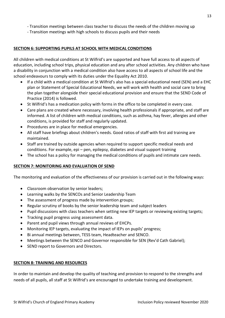- Transition meetings with high schools to discuss pupils and their needs

#### **SECTION 6: SUPPORTING PUPILS AT SCHOOL WITH MEDICAL CONDITIONS**

All children with medical conditions at St Wilfrid's are supported and have full access to all aspects of education, including school trips, physical education and any after school activities. Any children who have a disability in conjunction with a medical condition also have access to all aspects of school life and the school endeavours to comply with its duties under the Equality Act 2010.

- If a child with a medical condition at St Wilfrid's also has a special educational need (SEN) and a EHC plan or Statement of Special Educational Needs, we will work with health and social care to bring the plan together alongside their special educational provision and ensure that the SEND Code of Practice (2014) is followed.
- St Wilfrid's has a medication policy with forms in the office to be completed in every case.
- Care plans are created where necessary, involving health professionals if appropriate, and staff are informed. A list of children with medical conditions, such as asthma, hay fever, allergies and other conditions, is provided for staff and regularly updated.
- Procedures are in place for medical emergencies.
- All staff have briefings about children's needs. Good ratios of staff with first aid training are maintained.
- Staff are trained by outside agencies when required to support specific medical needs and conditions. For example, epi – pen, epilepsy, diabetes and visual support training
- The school has a policy for managing the medical conditions of pupils and intimate care needs.

#### **SECTION 7: MONITORING AND EVALUATION OF SEND**

The monitoring and evaluation of the effectiveness of our provision is carried out in the following ways:

- Classroom observation by senior leaders;
- Learning walks by the SENCOs and Senior Leadership Team
- The assessment of progress made by intervention groups;
- Regular scrutiny of books by the senior leadership team and subject leaders
- Pupil discussions with class teachers when setting new IEP targets or reviewing existing targets;
- Tracking pupil progress using assessment data.
- Parent and pupil views through annual reviews of EHCPs.
- Monitoring IEP targets, evaluating the impact of IEPs on pupils' progress;
- Bi annual meetings between, TESS team, Headteacher and SENCO.
- Meetings between the SENCO and Governor responsible for SEN (Rev'd Cath Gabriel);
- SEND report to Governors and Directors.

#### **SECTION 8: TRAINING AND RESOURCES**

In order to maintain and develop the quality of teaching and provision to respond to the strengths and needs of all pupils, all staff at St Wilfrid's are encouraged to undertake training and development.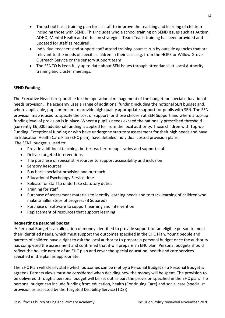- The school has a training plan for all staff to improve the teaching and learning of children including those with SEND. This includes whole school training on SEND issues such as Autism, ADHD, Mental Health and diffusion strategies. Team Teach training has been provided and updated for staff as required.
- Individual teachers and support staff attend training courses run by outside agencies that are relevant to the needs of specific children in their class e.g. from the HOPE or Willow Grove Outreach Service or the sensory support team
- The SENCO is keep fully up to date about SEN issues through attendance at Local Authority training and cluster meetings.

#### **SEND Funding**

The Executive Head is responsible for the operational management of the budget for special educational needs provision. The academy uses a range of additional funding including the notional SEN budget and, where applicable, pupil premium to provide high quality appropriate support for pupils with SEN. The SEN provision map is used to specify the cost of support for those children at SEN Support and where a top-up funding level of provision is in place. Where a pupil's needs exceed the nationally prescribed threshold (currently £6,000) additional funding is applied for from the local authority. Those children with Top-up Funding, Exceptional funding or who have undergone statutory assessment for their high needs and have an Education Health Care Plan (EHC plan), have detailed individual costed provision plans. The SEND budget is used to:

- Provide additional teaching, better teacher to pupil ratios and support staff
- Deliver targeted interventions
- The purchase of specialist resources to support accessibility and inclusion
- Sensory Resources
- Buy back specialist provision and outreach
- Educational Psychology Service time
- Release for staff to undertake statutory duties
- Training for staff
- Purchase of assessment materials to identify learning needs and to track learning of children who make smaller steps of progress (B Squared)
- Purchase of software to support learning and intervention
- Replacement of resources that support learning

#### **Requesting a personal budget**

A Personal Budget is an allocation of money identified to provide support for an eligible person to meet their identified needs, which must support the outcomes specified in the EHC Plan. Young people and parents of children have a right to ask the local authority to prepare a personal budget once the authority has completed the assessment and confirmed that it will prepare an EHC plan. Personal budgets should reflect the holistic nature of an EHC plan and cover the special education, health and care services specified in the plan as appropriate.

The EHC Plan will clearly state which outcomes can be met by a Personal Budget (if a Personal Budget is agreed). Parents views must be considered when deciding how the money will be spent. The provision to be delivered through a personal budget will be set out as part the provision specified in the EHC plan. The personal budget can include funding from education, health (Continuing Care) and social care (specialist provision as assessed by the Targeted Disability Service (TDS))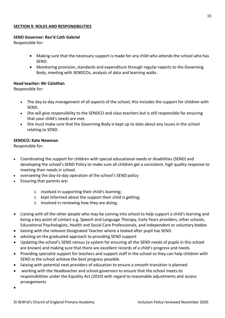#### **SECTION 9: ROLES AND RESPONSIBILITIES**

#### **SEND Governor: Rev'd Cath Gabriel**

Responsible for:

- Making sure that the necessary support is made for any child who attends the school who has SEND.
- Monitoring provision, standards and expenditure through regular reports to the Governing Body, meeting with SENDCOs, analysis of data and learning walks.

#### **Head teacher: Mr Colothan**

Responsible for:

- The day to day management of all aspects of the school, this includes the support for children with SEND.
- She will give responsibility to the SENDCO and class teachers but is still responsible for ensuring that your child's needs are met.
- She must make sure that the Governing Body is kept up to date about any issues in the school relating to SEND.

#### **SENDCO: Kate Newman**

Responsible for:

- Coordinating the support for children with special educational needs or disabilities (SEND) and developing the school's SEND Policy to make sure all children get a consistent, high quality response to meeting their needs in school.
- overseeing the day-to-day operation of the school's SEND policy
- Ensuring that parents are:
	- 1. involved in supporting their child's learning;
	- 2. kept informed about the support their child is getting;
	- 3. involved in reviewing how they are doing;
- Liaising with all the other people who may be coming into school to help support a child's learning and being a key point of contact e.g. Speech and Language Therapy, Early Years providers, other schools, Educational Psychologists, Health and Social Care Professionals, and independent or voluntary bodies
- liaising with the relevant Designated Teacher where a looked after pupil has SEND
- advising on the graduated approach to providing SEND support
- Updating the school's SEND census (a system for ensuring all the SEND needs of pupils in this school are known) and making sure that there are excellent records of a child's progress and needs.
- Providing specialist support for teachers and support staff in the school so they can help children with SEND in the school achieve the best progress possible.
- liaising with potential next providers of education to ensure a smooth transition is planned
- working with the Headteacher and school governors to ensure that the school meets its responsibilities under the Equality Act (2010) with regard to reasonable adjustments and access arrangements
- •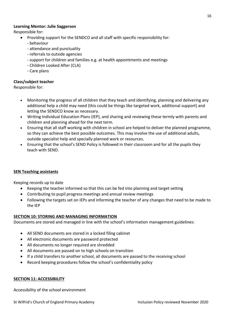#### **Learning Mentor: Julie Saggerson**

Responsible for:

- Providing support for the SENDCO and all staff with specific responsibility for:
	- behaviour
	- attendance and punctuality
	- referrals to outside agencies
	- support for children and families e.g. at health appointments and meetings
	- Children Looked After (CLA)
	- Care plans

### **Class/subject teacher**

Responsible for:

- Monitoring the progress of all children that they teach and identifying, planning and delivering any additional help a child may need (this could be things like targeted work, additional support) and letting the SENDCO know as necessary.
- Writing Individual Education Plans (IEP), and sharing and reviewing these termly with parents and children and planning ahead for the next term.
- Ensuring that all staff working with children in school are helped to deliver the planned programme, so they can achieve the best possible outcomes. This may involve the use of additional adults, outside specialist help and specially planned work or resources.
- Ensuring that the school's SEND Policy is followed in their classroom and for all the pupils they teach with SEND.

#### **SEN Teaching assistants**

Keeping records up to date

- Keeping the teacher informed so that this can be fed into planning and target setting
- Contributing to pupil progress meetings and annual review meetings
- Following the targets set on IEPs and informing the teacher of any changes that need to be made to the IEP

#### **SECTION 10: STORING AND MANAGING INFORMATION**

Documents are stored and managed in line with the school's information management guidelines:

- All SEND documents are stored in a locked filing cabinet
- All electronic documents are password protected
- All documents no longer required are shredded
- All documents are passed on to high schools on transition
- If a child transfers to another school, all documents are passed to the receiving school
- Record keeping procedures follow the school's confidentiality policy

#### **SECTION 11: ACCESSIBILITY**

Accessibility of the school environment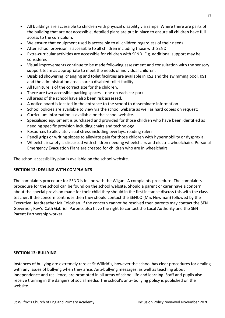- All buildings are accessible to children with physical disability via ramps. Where there are parts of the building that are not accessible, detailed plans are put in place to ensure all children have full access to the curriculum.
- We ensure that equipment used is accessible to all children regardless of their needs.
- After school provision is accessible to all children including those with SEND.
- Extra-curricular activities are accessible for children with SEND. E.g. additional support may be considered.
- Visual improvements continue to be made following assessment and consultation with the sensory support team as appropriate to meet the needs of individual children.
- Disabled showering, changing and toilet facilities are available in KS2 and the swimming pool. KS1 and the administration area share a disabled toilet facility.
- All furniture is of the correct size for the children.
- There are two accessible parking spaces one on each car park
- All areas of the school have also been risk assessed.
- A notice board is located in the entrance to the school to disseminate information
- School policies are available to view via the school website as well as hard copies on request;
- Curriculum information is available on the school website.
- Specialised equipment is purchased and provided for those children who have been identified as needing specific provision including chairs and technology
- Resources to alleviate visual stress including overlays, reading rulers.
- Pencil grips or writing slopes to alleviate pain for those children with hypermobility or dyspraxia.
- Wheelchair safety is discussed with children needing wheelchairs and electric wheelchairs. Personal Emergency Evacuation Plans are created for children who are in wheelchairs.

The school accessibility plan is available on the school website.

#### **SECTION 12: DEALING WITH COMPLAINTS**

The complaints procedure for SEND is in line with the Wigan LA complaints procedure. The complaints procedure for the school can be found on the school website. Should a parent or carer have a concern about the special provision made for their child they should in the first instance discuss this with the class teacher. If the concern continues then they should contact the SENCO (Mrs Newman) followed by the Executive Headteacher Mr Colothan. If the concern cannot be resolved then parents may contact the SEN Governor, Rev'd Cath Gabriel. Parents also have the right to contact the Local Authority and the SEN Parent Partnership worker.

#### **SECTION 13: BULLYING**

Instances of bullying are extremely rare at St Wilfrid's, however the school has clear procedures for dealing with any issues of bullying when they arise. Anti-bullying messages, as well as teaching about independence and resilience, are promoted in all areas of school life and learning. Staff and pupils also receive training in the dangers of social media. The school's anti- bullying policy is published on the website.